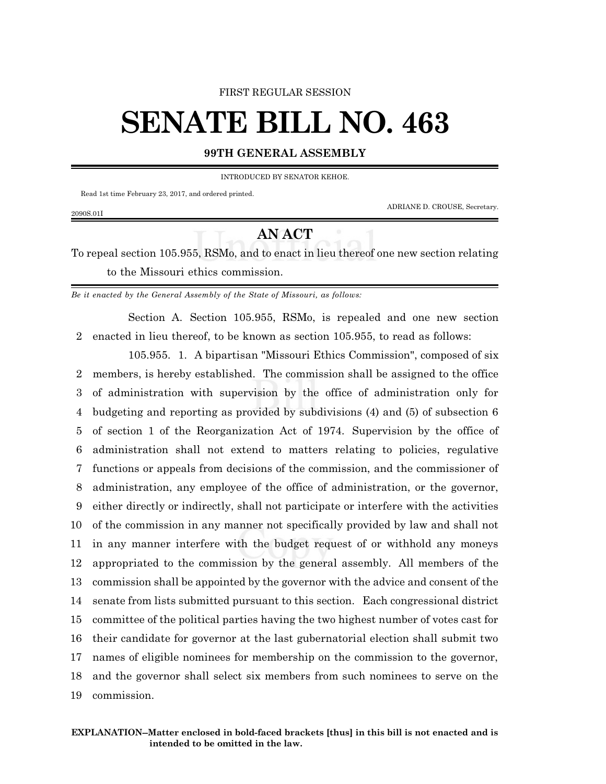#### FIRST REGULAR SESSION

# **SENATE BILL NO. 463**

### **99TH GENERAL ASSEMBLY**

INTRODUCED BY SENATOR KEHOE.

Read 1st time February 23, 2017, and ordered printed.

ADRIANE D. CROUSE, Secretary.

#### 2090S.01I

## **AN ACT**

To repeal section 105.955, RSMo, and to enact in lieu thereof one new section relating to the Missouri ethics commission.

*Be it enacted by the General Assembly of the State of Missouri, as follows:*

Section A. Section 105.955, RSMo, is repealed and one new section 2 enacted in lieu thereof, to be known as section 105.955, to read as follows:

105.955. 1. A bipartisan "Missouri Ethics Commission", composed of six members, is hereby established. The commission shall be assigned to the office of administration with supervision by the office of administration only for budgeting and reporting as provided by subdivisions (4) and (5) of subsection 6 of section 1 of the Reorganization Act of 1974. Supervision by the office of administration shall not extend to matters relating to policies, regulative functions or appeals from decisions of the commission, and the commissioner of administration, any employee of the office of administration, or the governor, either directly or indirectly, shall not participate or interfere with the activities of the commission in any manner not specifically provided by law and shall not in any manner interfere with the budget request of or withhold any moneys appropriated to the commission by the general assembly. All members of the commission shall be appointed by the governor with the advice and consent of the senate from lists submitted pursuant to this section. Each congressional district committee of the political parties having the two highest number of votes cast for their candidate for governor at the last gubernatorial election shall submit two names of eligible nominees for membership on the commission to the governor, and the governor shall select six members from such nominees to serve on the commission.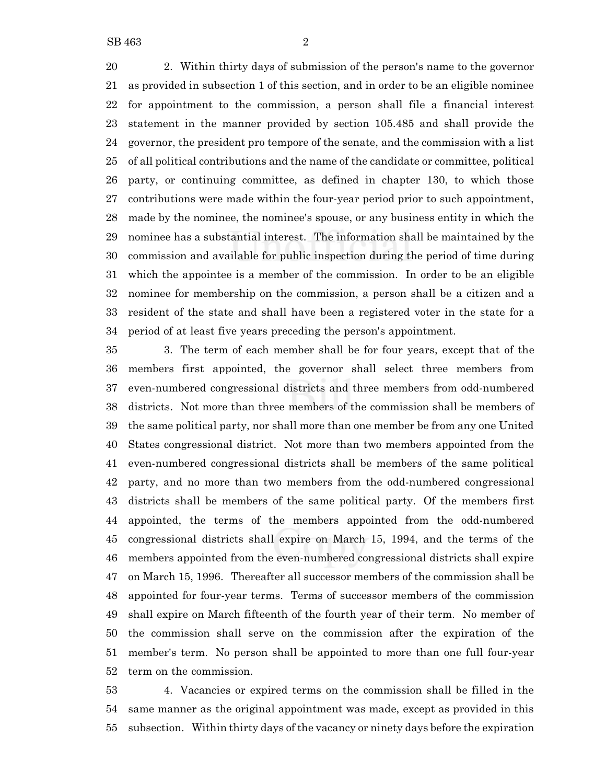2. Within thirty days of submission of the person's name to the governor as provided in subsection 1 of this section, and in order to be an eligible nominee for appointment to the commission, a person shall file a financial interest statement in the manner provided by section 105.485 and shall provide the governor, the president pro tempore of the senate, and the commission with a list of all political contributions and the name of the candidate or committee, political party, or continuing committee, as defined in chapter 130, to which those contributions were made within the four-year period prior to such appointment, made by the nominee, the nominee's spouse, or any business entity in which the nominee has a substantial interest. The information shall be maintained by the commission and available for public inspection during the period of time during which the appointee is a member of the commission. In order to be an eligible nominee for membership on the commission, a person shall be a citizen and a resident of the state and shall have been a registered voter in the state for a

 period of at least five years preceding the person's appointment. 3. The term of each member shall be for four years, except that of the members first appointed, the governor shall select three members from even-numbered congressional districts and three members from odd-numbered districts. Not more than three members of the commission shall be members of the same political party, nor shall more than one member be from any one United States congressional district. Not more than two members appointed from the even-numbered congressional districts shall be members of the same political party, and no more than two members from the odd-numbered congressional districts shall be members of the same political party. Of the members first appointed, the terms of the members appointed from the odd-numbered congressional districts shall expire on March 15, 1994, and the terms of the members appointed from the even-numbered congressional districts shall expire on March 15, 1996. Thereafter all successor members of the commission shall be appointed for four-year terms. Terms of successor members of the commission

 shall expire on March fifteenth of the fourth year of their term. No member of the commission shall serve on the commission after the expiration of the member's term. No person shall be appointed to more than one full four-year term on the commission.

 4. Vacancies or expired terms on the commission shall be filled in the same manner as the original appointment was made, except as provided in this subsection. Within thirty days of the vacancy or ninety days before the expiration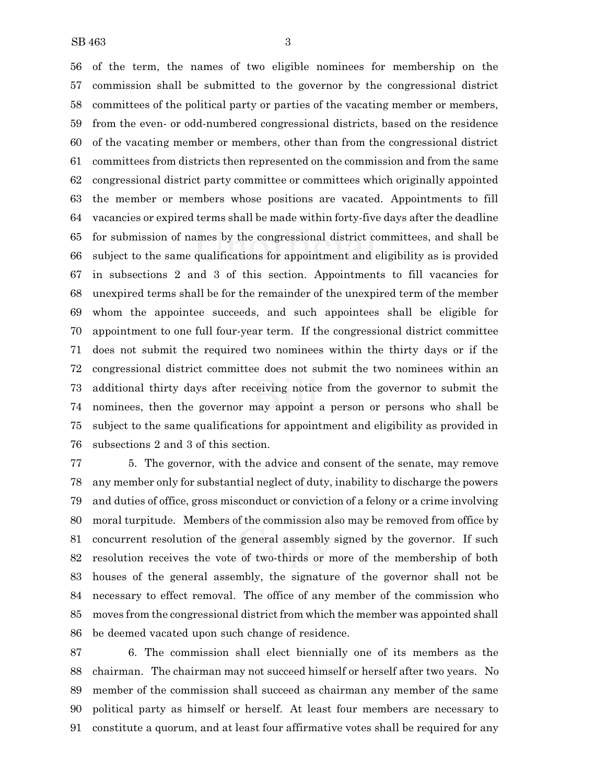of the term, the names of two eligible nominees for membership on the commission shall be submitted to the governor by the congressional district committees of the political party or parties of the vacating member or members, from the even- or odd-numbered congressional districts, based on the residence of the vacating member or members, other than from the congressional district committees from districts then represented on the commission and from the same congressional district party committee or committees which originally appointed the member or members whose positions are vacated. Appointments to fill vacancies or expired terms shall be made within forty-five days after the deadline for submission of names by the congressional district committees, and shall be subject to the same qualifications for appointment and eligibility as is provided in subsections 2 and 3 of this section. Appointments to fill vacancies for unexpired terms shall be for the remainder of the unexpired term of the member whom the appointee succeeds, and such appointees shall be eligible for appointment to one full four-year term. If the congressional district committee does not submit the required two nominees within the thirty days or if the congressional district committee does not submit the two nominees within an additional thirty days after receiving notice from the governor to submit the nominees, then the governor may appoint a person or persons who shall be subject to the same qualifications for appointment and eligibility as provided in subsections 2 and 3 of this section.

 5. The governor, with the advice and consent of the senate, may remove any member only for substantial neglect of duty, inability to discharge the powers and duties of office, gross misconduct or conviction of a felony or a crime involving moral turpitude. Members of the commission also may be removed from office by concurrent resolution of the general assembly signed by the governor. If such resolution receives the vote of two-thirds or more of the membership of both houses of the general assembly, the signature of the governor shall not be necessary to effect removal. The office of any member of the commission who moves from the congressional district from which the member was appointed shall be deemed vacated upon such change of residence.

 6. The commission shall elect biennially one of its members as the chairman. The chairman may not succeed himself or herself after two years. No member of the commission shall succeed as chairman any member of the same political party as himself or herself. At least four members are necessary to constitute a quorum, and at least four affirmative votes shall be required for any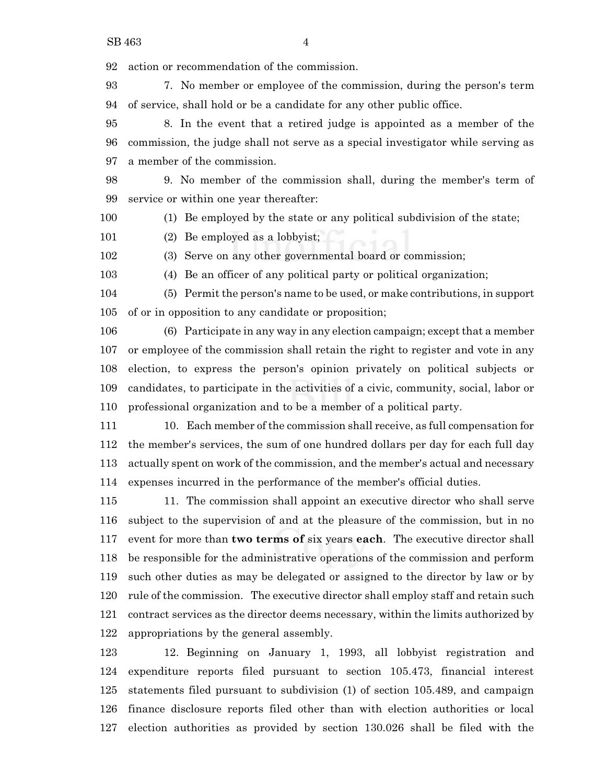action or recommendation of the commission.

 7. No member or employee of the commission, during the person's term of service, shall hold or be a candidate for any other public office.

 8. In the event that a retired judge is appointed as a member of the commission, the judge shall not serve as a special investigator while serving as a member of the commission.

 9. No member of the commission shall, during the member's term of service or within one year thereafter:

(1) Be employed by the state or any political subdivision of the state;

(2) Be employed as a lobbyist;

(3) Serve on any other governmental board or commission;

(4) Be an officer of any political party or political organization;

 (5) Permit the person's name to be used, or make contributions, in support of or in opposition to any candidate or proposition;

 (6) Participate in any way in any election campaign; except that a member or employee of the commission shall retain the right to register and vote in any election, to express the person's opinion privately on political subjects or candidates, to participate in the activities of a civic, community, social, labor or professional organization and to be a member of a political party.

 10. Each member of the commission shall receive, as full compensation for the member's services, the sum of one hundred dollars per day for each full day actually spent on work of the commission, and the member's actual and necessary expenses incurred in the performance of the member's official duties.

 11. The commission shall appoint an executive director who shall serve subject to the supervision of and at the pleasure of the commission, but in no event for more than **two terms of** six years **each**. The executive director shall be responsible for the administrative operations of the commission and perform such other duties as may be delegated or assigned to the director by law or by rule of the commission. The executive director shall employ staff and retain such contract services as the director deems necessary, within the limits authorized by appropriations by the general assembly.

 12. Beginning on January 1, 1993, all lobbyist registration and expenditure reports filed pursuant to section 105.473, financial interest statements filed pursuant to subdivision (1) of section 105.489, and campaign finance disclosure reports filed other than with election authorities or local election authorities as provided by section 130.026 shall be filed with the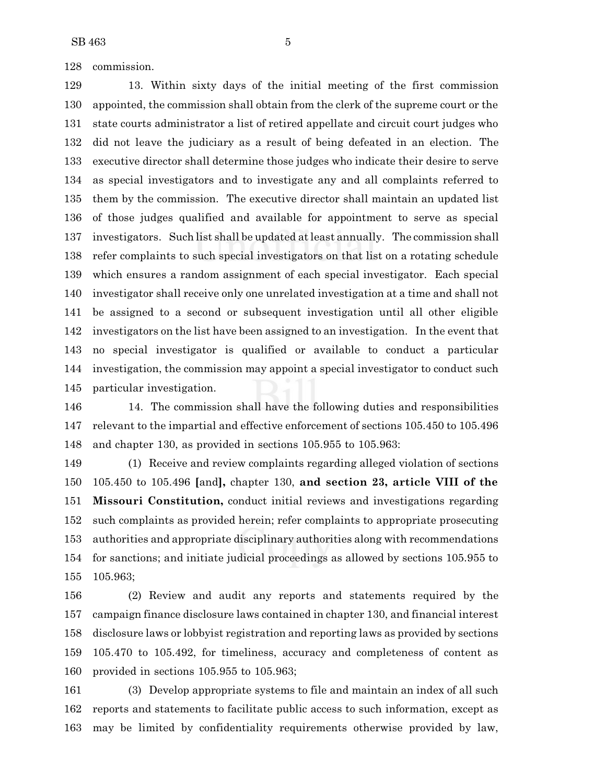commission.

 13. Within sixty days of the initial meeting of the first commission appointed, the commission shall obtain from the clerk of the supreme court or the state courts administrator a list of retired appellate and circuit court judges who did not leave the judiciary as a result of being defeated in an election. The executive director shall determine those judges who indicate their desire to serve as special investigators and to investigate any and all complaints referred to them by the commission. The executive director shall maintain an updated list of those judges qualified and available for appointment to serve as special investigators. Such list shall be updated at least annually. The commission shall refer complaints to such special investigators on that list on a rotating schedule which ensures a random assignment of each special investigator. Each special investigator shall receive only one unrelated investigation at a time and shall not be assigned to a second or subsequent investigation until all other eligible investigators on the list have been assigned to an investigation. In the event that no special investigator is qualified or available to conduct a particular investigation, the commission may appoint a special investigator to conduct such particular investigation.

 14. The commission shall have the following duties and responsibilities relevant to the impartial and effective enforcement of sections 105.450 to 105.496 and chapter 130, as provided in sections 105.955 to 105.963:

 (1) Receive and review complaints regarding alleged violation of sections 105.450 to 105.496 **[**and**],** chapter 130, **and section 23, article VIII of the Missouri Constitution,** conduct initial reviews and investigations regarding such complaints as provided herein; refer complaints to appropriate prosecuting authorities and appropriate disciplinary authorities along with recommendations for sanctions; and initiate judicial proceedings as allowed by sections 105.955 to 105.963;

 (2) Review and audit any reports and statements required by the campaign finance disclosure laws contained in chapter 130, and financial interest disclosure laws or lobbyist registration and reporting laws as provided by sections 105.470 to 105.492, for timeliness, accuracy and completeness of content as provided in sections 105.955 to 105.963;

 (3) Develop appropriate systems to file and maintain an index of all such reports and statements to facilitate public access to such information, except as may be limited by confidentiality requirements otherwise provided by law,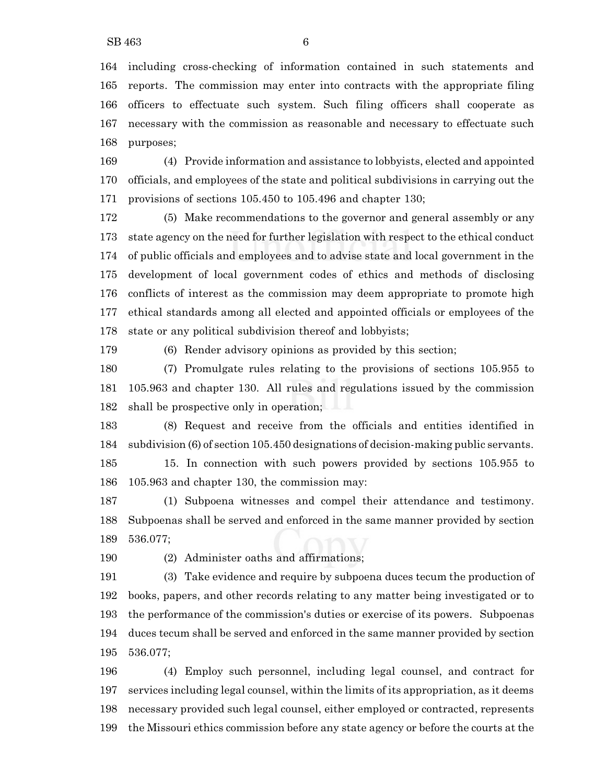including cross-checking of information contained in such statements and reports. The commission may enter into contracts with the appropriate filing officers to effectuate such system. Such filing officers shall cooperate as necessary with the commission as reasonable and necessary to effectuate such purposes;

 (4) Provide information and assistance to lobbyists, elected and appointed officials, and employees of the state and political subdivisions in carrying out the provisions of sections 105.450 to 105.496 and chapter 130;

 (5) Make recommendations to the governor and general assembly or any state agency on the need for further legislation with respect to the ethical conduct of public officials and employees and to advise state and local government in the development of local government codes of ethics and methods of disclosing conflicts of interest as the commission may deem appropriate to promote high ethical standards among all elected and appointed officials or employees of the state or any political subdivision thereof and lobbyists;

(6) Render advisory opinions as provided by this section;

 (7) Promulgate rules relating to the provisions of sections 105.955 to 105.963 and chapter 130. All rules and regulations issued by the commission shall be prospective only in operation;

 (8) Request and receive from the officials and entities identified in subdivision (6) of section 105.450 designations of decision-making public servants.

 15. In connection with such powers provided by sections 105.955 to 105.963 and chapter 130, the commission may:

 (1) Subpoena witnesses and compel their attendance and testimony. Subpoenas shall be served and enforced in the same manner provided by section 536.077;

(2) Administer oaths and affirmations;

 (3) Take evidence and require by subpoena duces tecum the production of books, papers, and other records relating to any matter being investigated or to the performance of the commission's duties or exercise of its powers. Subpoenas duces tecum shall be served and enforced in the same manner provided by section 536.077;

 (4) Employ such personnel, including legal counsel, and contract for services including legal counsel, within the limits of its appropriation, as it deems necessary provided such legal counsel, either employed or contracted, represents the Missouri ethics commission before any state agency or before the courts at the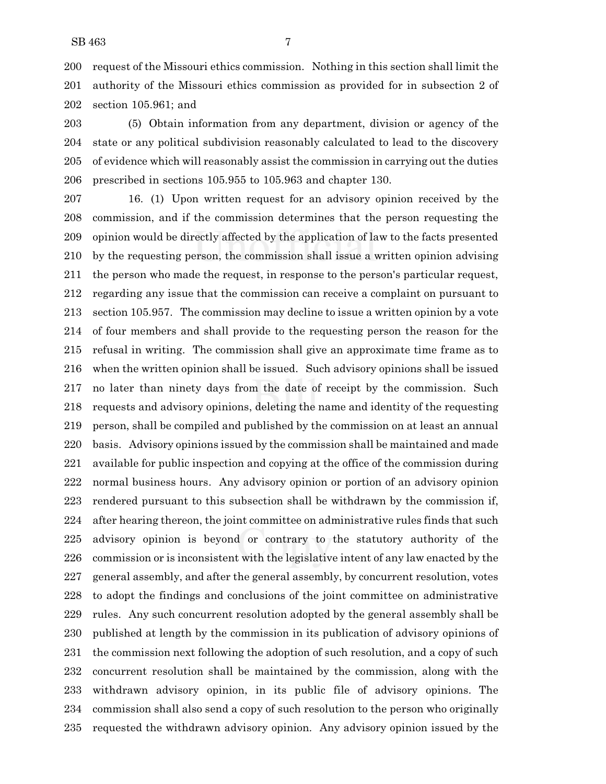request of the Missouri ethics commission. Nothing in this section shall limit the authority of the Missouri ethics commission as provided for in subsection 2 of section 105.961; and

 (5) Obtain information from any department, division or agency of the state or any political subdivision reasonably calculated to lead to the discovery of evidence which will reasonably assist the commission in carrying out the duties prescribed in sections 105.955 to 105.963 and chapter 130.

 16. (1) Upon written request for an advisory opinion received by the commission, and if the commission determines that the person requesting the opinion would be directly affected by the application of law to the facts presented by the requesting person, the commission shall issue a written opinion advising the person who made the request, in response to the person's particular request, regarding any issue that the commission can receive a complaint on pursuant to section 105.957. The commission may decline to issue a written opinion by a vote of four members and shall provide to the requesting person the reason for the refusal in writing. The commission shall give an approximate time frame as to when the written opinion shall be issued. Such advisory opinions shall be issued no later than ninety days from the date of receipt by the commission. Such requests and advisory opinions, deleting the name and identity of the requesting person, shall be compiled and published by the commission on at least an annual basis. Advisory opinions issued by the commission shall be maintained and made available for public inspection and copying at the office of the commission during normal business hours. Any advisory opinion or portion of an advisory opinion rendered pursuant to this subsection shall be withdrawn by the commission if, after hearing thereon, the joint committee on administrative rules finds that such advisory opinion is beyond or contrary to the statutory authority of the commission or is inconsistent with the legislative intent of any law enacted by the general assembly, and after the general assembly, by concurrent resolution, votes to adopt the findings and conclusions of the joint committee on administrative rules. Any such concurrent resolution adopted by the general assembly shall be published at length by the commission in its publication of advisory opinions of the commission next following the adoption of such resolution, and a copy of such concurrent resolution shall be maintained by the commission, along with the withdrawn advisory opinion, in its public file of advisory opinions. The commission shall also send a copy of such resolution to the person who originally requested the withdrawn advisory opinion. Any advisory opinion issued by the